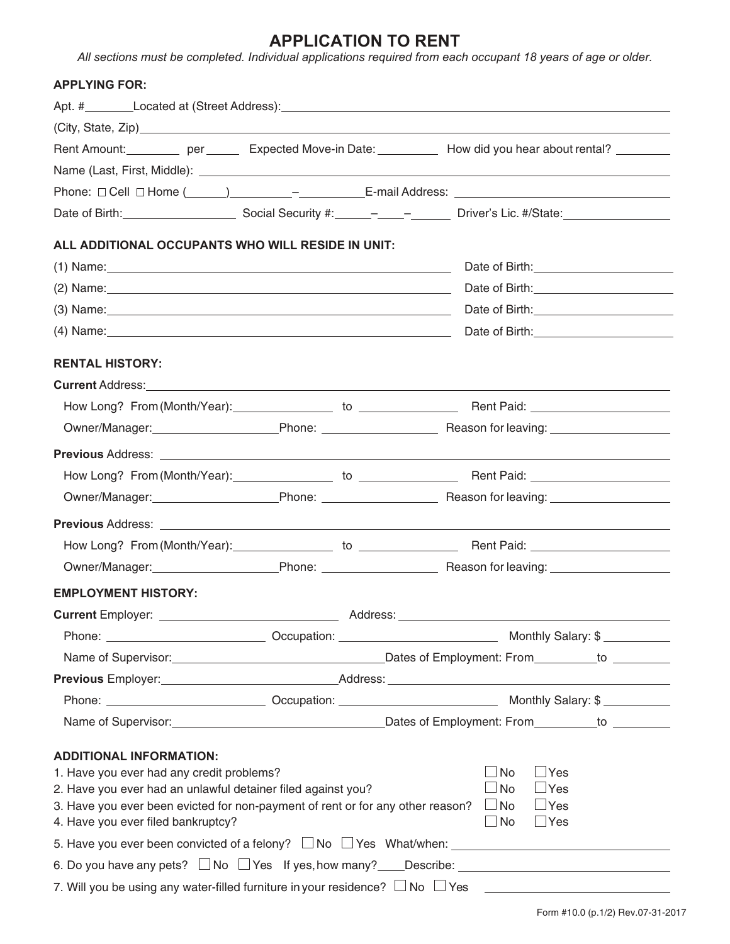# **APPLICATION TO RENT**

All sections must be completed. Individual applications required from each occupant 18 years of age or older.

### **APPLYING FOR:**

| Rent Amount: per per Expected Move-in Date: How did you hear about rental?                                                                                                                                                          |  |  |                         |  |
|-------------------------------------------------------------------------------------------------------------------------------------------------------------------------------------------------------------------------------------|--|--|-------------------------|--|
| Name (Last, First, Middle): <u>[2006]</u> Name (Last, First, Middle):                                                                                                                                                               |  |  |                         |  |
|                                                                                                                                                                                                                                     |  |  |                         |  |
| Date of Birth: Channel Contract Social Security #: Channel Channel Christian Driver's Lic. #/State:                                                                                                                                 |  |  |                         |  |
| ALL ADDITIONAL OCCUPANTS WHO WILL RESIDE IN UNIT:                                                                                                                                                                                   |  |  |                         |  |
| (1) Name: 1.1 and 2.1 and 2.1 and 2.1 and 2.1 and 2.1 and 2.1 and 2.1 and 2.1 and 2.1 and 2.1 and 2.1 and 2.1 and 2.1 and 2.1 and 2.1 and 2.1 and 2.1 and 2.1 and 2.1 and 2.1 and 2.1 and 2.1 and 2.1 and 2.1 and 2.1 and 2.1       |  |  |                         |  |
|                                                                                                                                                                                                                                     |  |  |                         |  |
| (3) Name: <u>2000 Name:</u> 2000 Name: 2000 Name: 2000 Name: 2000 Name: 2000 Name: 2000 Name: 2000 Name: 2000 Name: 2000 Name: 2000 Name: 2000 Name: 2000 Name: 2000 Name: 2000 Name: 2000 Name: 2000 Name: 2000 Name: 2000 Name: 2 |  |  |                         |  |
|                                                                                                                                                                                                                                     |  |  |                         |  |
|                                                                                                                                                                                                                                     |  |  |                         |  |
| <b>RENTAL HISTORY:</b>                                                                                                                                                                                                              |  |  |                         |  |
|                                                                                                                                                                                                                                     |  |  |                         |  |
|                                                                                                                                                                                                                                     |  |  |                         |  |
| Owner/Manager: Phone: Reason for leaving: Nearly Manager: New York Phone: Nearly Reason for leaving:                                                                                                                                |  |  |                         |  |
|                                                                                                                                                                                                                                     |  |  |                         |  |
|                                                                                                                                                                                                                                     |  |  |                         |  |
|                                                                                                                                                                                                                                     |  |  |                         |  |
|                                                                                                                                                                                                                                     |  |  |                         |  |
|                                                                                                                                                                                                                                     |  |  |                         |  |
| Owner/Manager: Phone: Reason for leaving: Nearly Manager: New York Proncincular Phone: Nearly Reason for leaving:                                                                                                                   |  |  |                         |  |
| <b>EMPLOYMENT HISTORY:</b>                                                                                                                                                                                                          |  |  |                         |  |
|                                                                                                                                                                                                                                     |  |  |                         |  |
|                                                                                                                                                                                                                                     |  |  |                         |  |
|                                                                                                                                                                                                                                     |  |  |                         |  |
| Previous Employer: Notified that the Address: Address: Notified the Address of the Address of the Address of the Address of the Address of the Address of the Address of the Address of the Address of the Address of the Addr      |  |  |                         |  |
|                                                                                                                                                                                                                                     |  |  |                         |  |
|                                                                                                                                                                                                                                     |  |  |                         |  |
| <b>ADDITIONAL INFORMATION:</b>                                                                                                                                                                                                      |  |  |                         |  |
| 1. Have you ever had any credit problems?                                                                                                                                                                                           |  |  | $\Box$ Yes<br>$\Box$ No |  |
| $\Box$ Yes<br>$\Box$ No<br>2. Have you ever had an unlawful detainer filed against you?                                                                                                                                             |  |  |                         |  |
| 3. Have you ever been evicted for non-payment of rent or for any other reason? $\Box$ No                                                                                                                                            |  |  | $\Box$ Yes              |  |
| 4. Have you ever filed bankruptcy?                                                                                                                                                                                                  |  |  | $\Box$ Yes<br>$\Box$ No |  |
|                                                                                                                                                                                                                                     |  |  |                         |  |
|                                                                                                                                                                                                                                     |  |  |                         |  |
| 7. Will you be using any water-filled furniture in your residence? $\Box$ No $\Box$ Yes $\Box$                                                                                                                                      |  |  |                         |  |